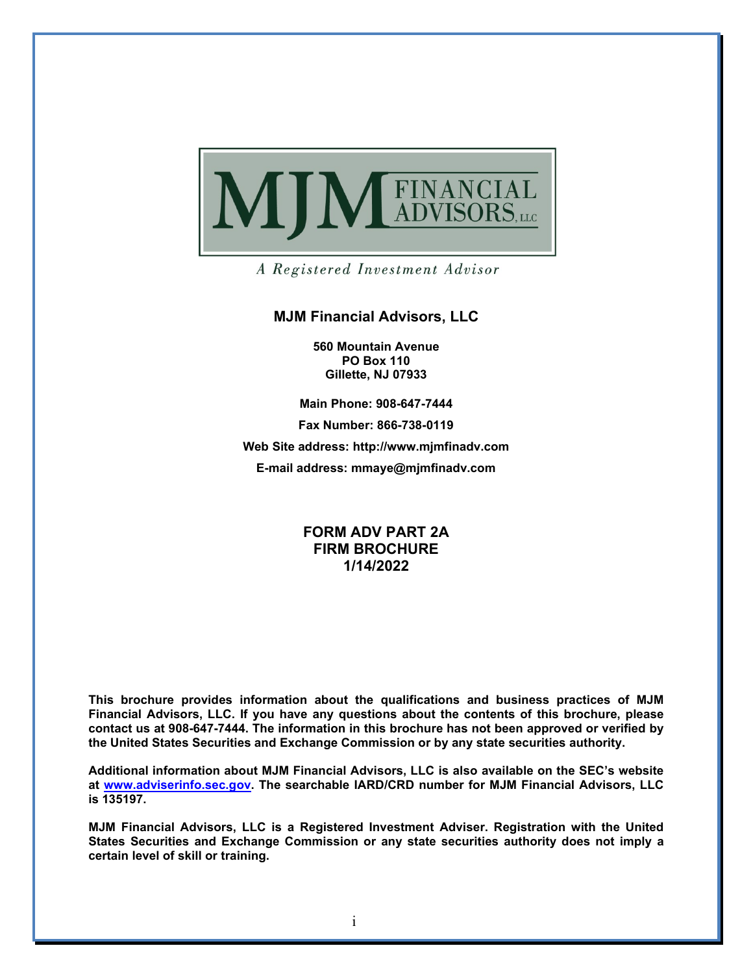

A Registered Investment Advisor

#### **MJM Financial Advisors, LLC**

**560 Mountain Avenue PO Box 110 Gillette, NJ 07933**

**Main Phone: 908-647-7444**

**Fax Number: 866-738-0119**

**Web Site address: http://www.mjmfinadv.com E-mail address: mmaye@mjmfinadv.com**

### **FORM ADV PART 2A FIRM BROCHURE 1/14/2022**

**This brochure provides information about the qualifications and business practices of MJM Financial Advisors, LLC. If you have any questions about the contents of this brochure, please contact us at 908-647-7444. The information in this brochure has not been approved or verified by the United States Securities and Exchange Commission or by any state securities authority.**

**Additional information about MJM Financial Advisors, LLC is also available on the SEC's website at [www.adviserinfo.sec.gov.](http://www.adviserinfo.sec.gov/) The searchable IARD/CRD number for MJM Financial Advisors, LLC is 135197.** 

**MJM Financial Advisors, LLC is a Registered Investment Adviser. Registration with the United States Securities and Exchange Commission or any state securities authority does not imply a certain level of skill or training.**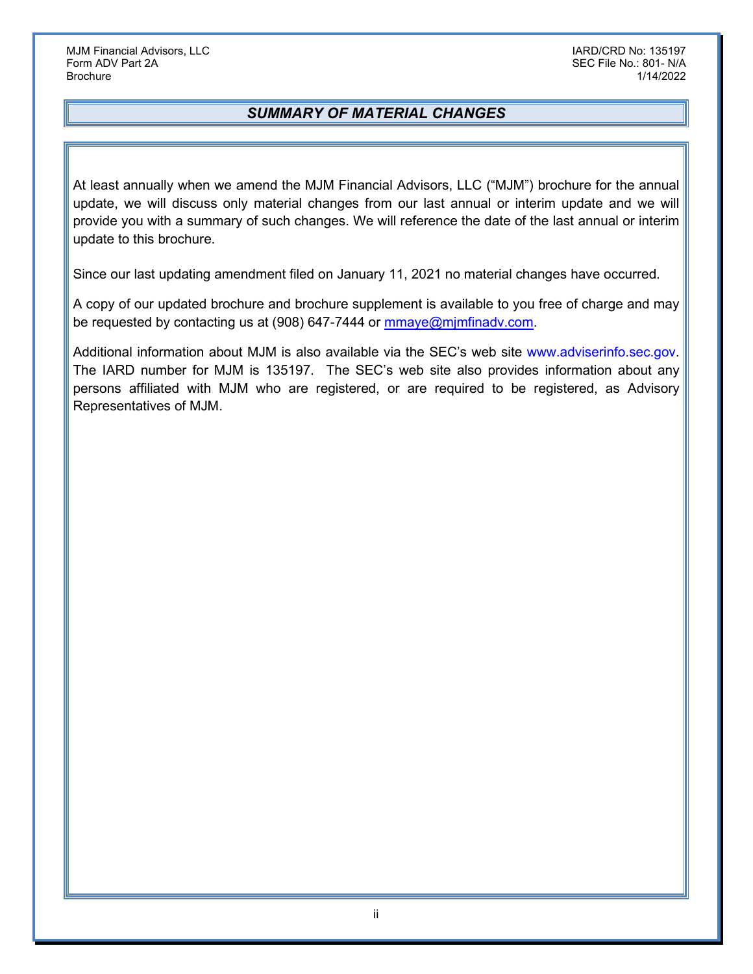## *SUMMARY OF MATERIAL CHANGES*

At least annually when we amend the MJM Financial Advisors, LLC ("MJM") brochure for the annual update, we will discuss only material changes from our last annual or interim update and we will provide you with a summary of such changes. We will reference the date of the last annual or interim update to this brochure.

Since our last updating amendment filed on January 11, 2021 no material changes have occurred.

A copy of our updated brochure and brochure supplement is available to you free of charge and may be requested by contacting us at (908) 647-7444 or mmaye@mimfinadv.com.

Additional information about MJM is also available via the SEC's web site www.adviserinfo.sec.gov. The IARD number for MJM is 135197. The SEC's web site also provides information about any persons affiliated with MJM who are registered, or are required to be registered, as Advisory Representatives of MJM.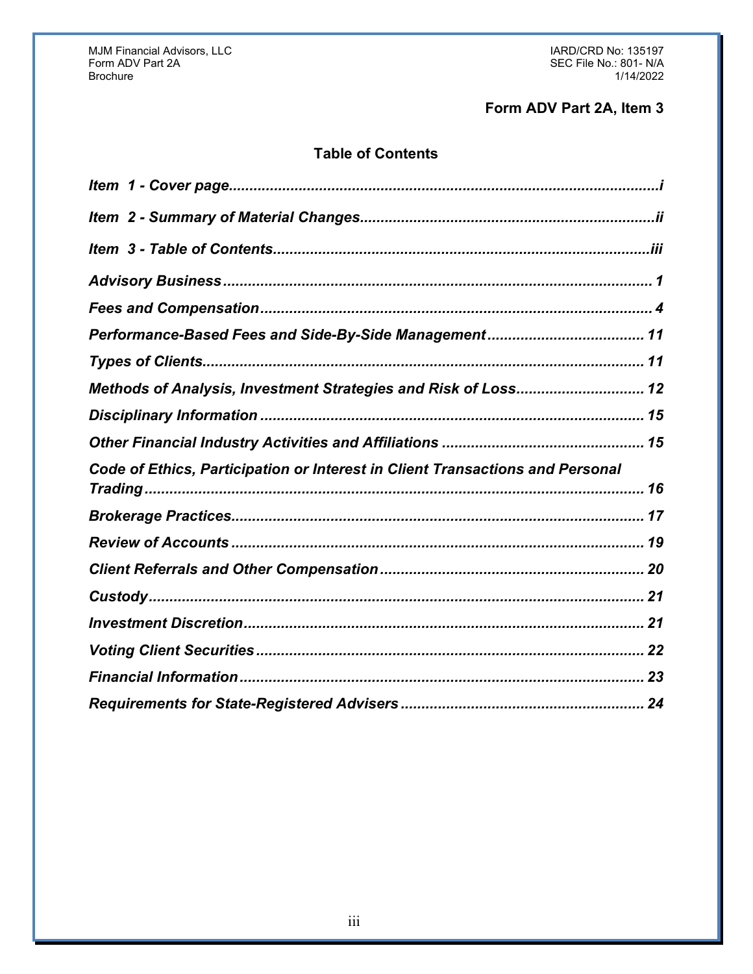## Form ADV Part 2A, Item 3

## **Table of Contents**

| Methods of Analysis, Investment Strategies and Risk of Loss 12                |  |
|-------------------------------------------------------------------------------|--|
|                                                                               |  |
|                                                                               |  |
| Code of Ethics, Participation or Interest in Client Transactions and Personal |  |
|                                                                               |  |
|                                                                               |  |
|                                                                               |  |
|                                                                               |  |
|                                                                               |  |
|                                                                               |  |
|                                                                               |  |
|                                                                               |  |
|                                                                               |  |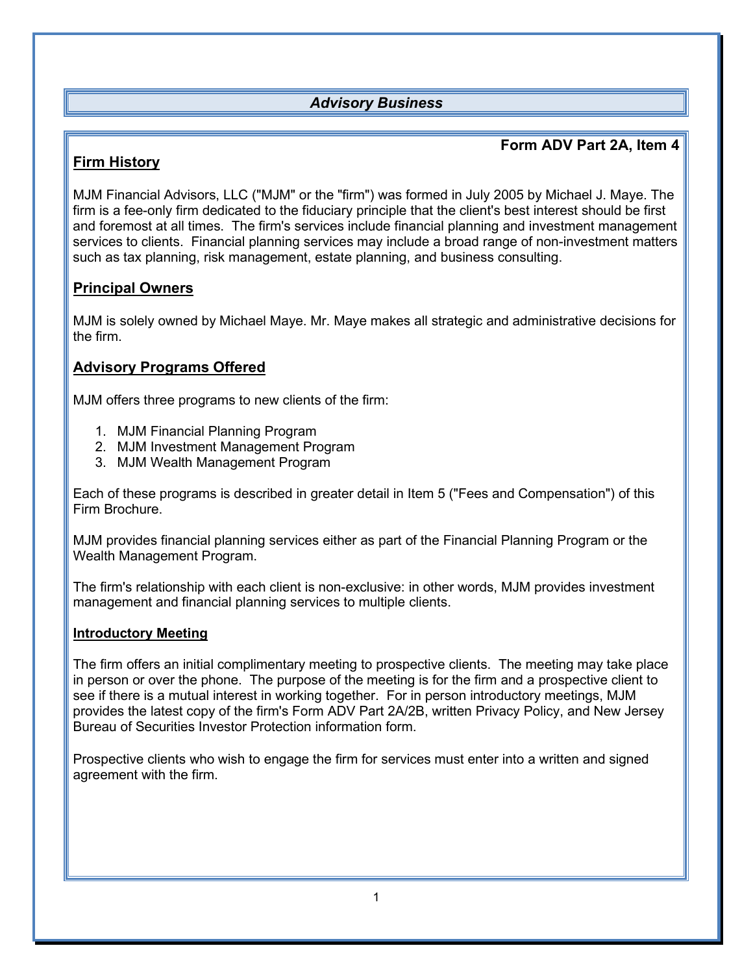## <span id="page-3-0"></span>*Advisory Business*

## **Form ADV Part 2A, Item 4**

## **Firm History**

MJM Financial Advisors, LLC ("MJM" or the "firm") was formed in July 2005 by Michael J. Maye. The firm is a fee-only firm dedicated to the fiduciary principle that the client's best interest should be first and foremost at all times. The firm's services include financial planning and investment management services to clients. Financial planning services may include a broad range of non-investment matters such as tax planning, risk management, estate planning, and business consulting.

## **Principal Owners**

MJM is solely owned by Michael Maye. Mr. Maye makes all strategic and administrative decisions for the firm.

## **Advisory Programs Offered**

MJM offers three programs to new clients of the firm:

- 1. MJM Financial Planning Program
- 2. MJM Investment Management Program
- 3. MJM Wealth Management Program

Each of these programs is described in greater detail in Item 5 ("Fees and Compensation") of this Firm Brochure.

MJM provides financial planning services either as part of the Financial Planning Program or the Wealth Management Program.

The firm's relationship with each client is non-exclusive: in other words, MJM provides investment management and financial planning services to multiple clients.

#### **Introductory Meeting**

The firm offers an initial complimentary meeting to prospective clients. The meeting may take place in person or over the phone. The purpose of the meeting is for the firm and a prospective client to see if there is a mutual interest in working together. For in person introductory meetings, MJM provides the latest copy of the firm's Form ADV Part 2A/2B, written Privacy Policy, and New Jersey Bureau of Securities Investor Protection information form.

Prospective clients who wish to engage the firm for services must enter into a written and signed agreement with the firm.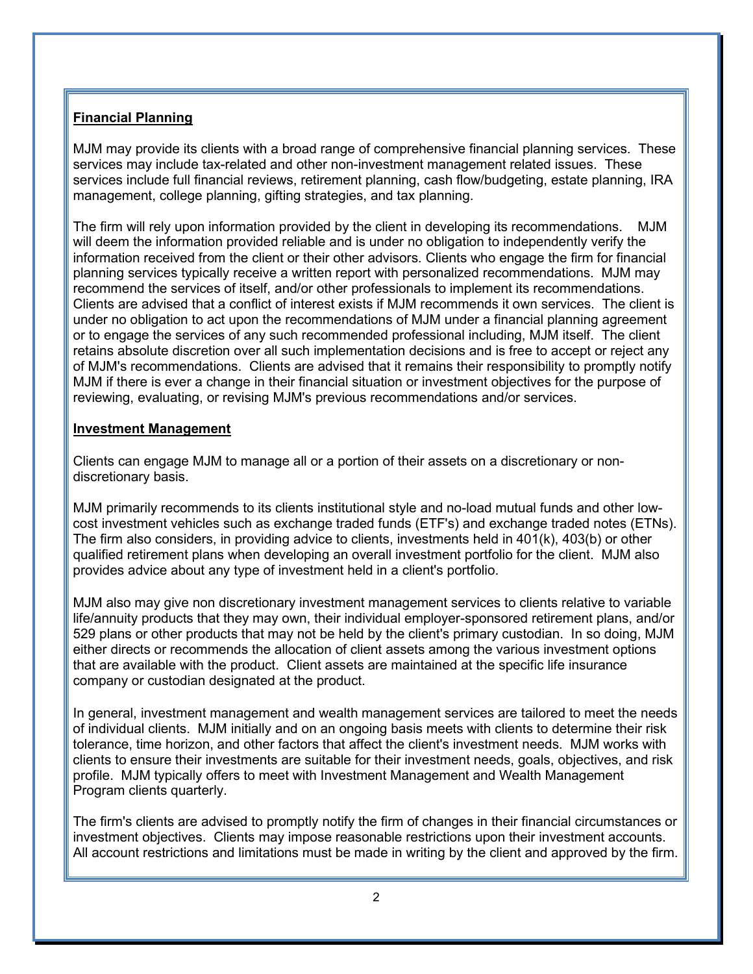### **Financial Planning**

MJM may provide its clients with a broad range of comprehensive financial planning services. These services may include tax-related and other non-investment management related issues. These services include full financial reviews, retirement planning, cash flow/budgeting, estate planning, IRA management, college planning, gifting strategies, and tax planning.

The firm will rely upon information provided by the client in developing its recommendations. MJM will deem the information provided reliable and is under no obligation to independently verify the information received from the client or their other advisors. Clients who engage the firm for financial planning services typically receive a written report with personalized recommendations. MJM may recommend the services of itself, and/or other professionals to implement its recommendations. Clients are advised that a conflict of interest exists if MJM recommends it own services. The client is under no obligation to act upon the recommendations of MJM under a financial planning agreement or to engage the services of any such recommended professional including, MJM itself. The client retains absolute discretion over all such implementation decisions and is free to accept or reject any of MJM's recommendations. Clients are advised that it remains their responsibility to promptly notify MJM if there is ever a change in their financial situation or investment objectives for the purpose of reviewing, evaluating, or revising MJM's previous recommendations and/or services.

#### **Investment Management**

Clients can engage MJM to manage all or a portion of their assets on a discretionary or nondiscretionary basis.

MJM primarily recommends to its clients institutional style and no-load mutual funds and other lowcost investment vehicles such as exchange traded funds (ETF's) and exchange traded notes (ETNs). The firm also considers, in providing advice to clients, investments held in 401(k), 403(b) or other qualified retirement plans when developing an overall investment portfolio for the client. MJM also provides advice about any type of investment held in a client's portfolio.

MJM also may give non discretionary investment management services to clients relative to variable life/annuity products that they may own, their individual employer-sponsored retirement plans, and/or 529 plans or other products that may not be held by the client's primary custodian. In so doing, MJM either directs or recommends the allocation of client assets among the various investment options that are available with the product. Client assets are maintained at the specific life insurance company or custodian designated at the product.

In general, investment management and wealth management services are tailored to meet the needs of individual clients. MJM initially and on an ongoing basis meets with clients to determine their risk tolerance, time horizon, and other factors that affect the client's investment needs. MJM works with clients to ensure their investments are suitable for their investment needs, goals, objectives, and risk profile. MJM typically offers to meet with Investment Management and Wealth Management Program clients quarterly.

The firm's clients are advised to promptly notify the firm of changes in their financial circumstances or investment objectives. Clients may impose reasonable restrictions upon their investment accounts. All account restrictions and limitations must be made in writing by the client and approved by the firm.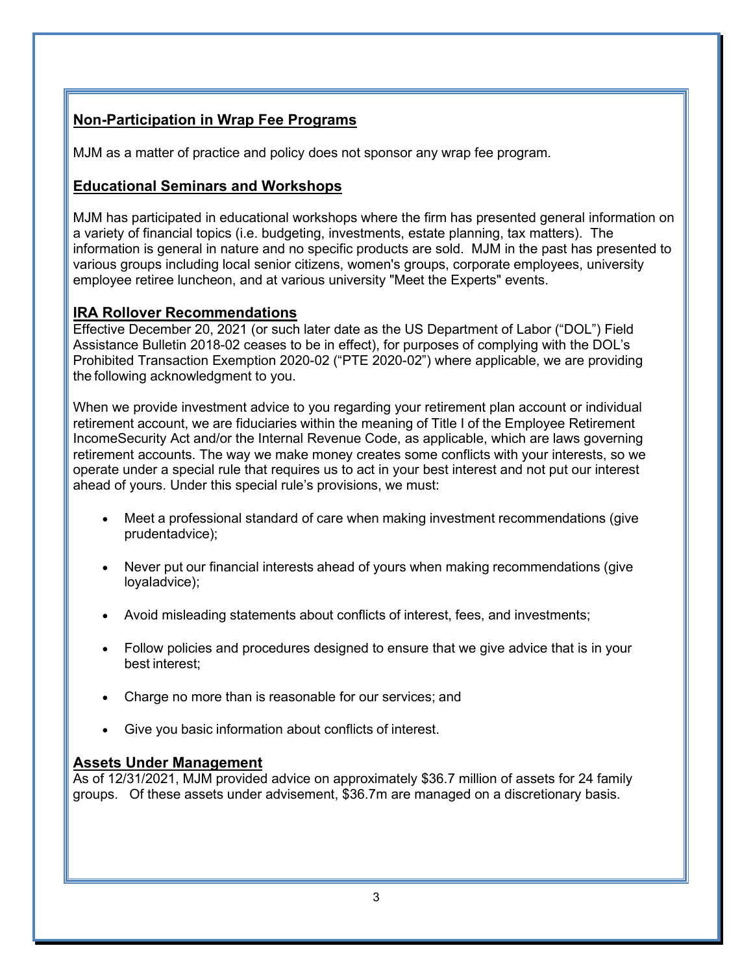## **Non-Participation in Wrap Fee Programs**

MJM as a matter of practice and policy does not sponsor any wrap fee program.

## **Educational Seminars and Workshops**

MJM has participated in educational workshops where the firm has presented general information on a variety of financial topics (i.e. budgeting, investments, estate planning, tax matters). The information is general in nature and no specific products are sold. MJM in the past has presented to various groups including local senior citizens, women's groups, corporate employees, university employee retiree luncheon, and at various university "Meet the Experts" events.

## **IRA Rollover Recommendations**

Effective December 20, 2021 (or such later date as the US Department of Labor ("DOL") Field Assistance Bulletin 2018-02 ceases to be in effect), for purposes of complying with the DOL's Prohibited Transaction Exemption 2020-02 ("PTE 2020-02") where applicable, we are providing the following acknowledgment to you.

When we provide investment advice to you regarding your retirement plan account or individual retirement account, we are fiduciaries within the meaning of Title I of the Employee Retirement IncomeSecurity Act and/or the Internal Revenue Code, as applicable, which are laws governing retirement accounts. The way we make money creates some conflicts with your interests, so we operate under a special rule that requires us to act in your best interest and not put our interest ahead of yours. Under this special rule's provisions, we must:

- Meet a professional standard of care when making investment recommendations (give prudentadvice);
- Never put our financial interests ahead of yours when making recommendations (give loyaladvice);
- Avoid misleading statements about conflicts of interest, fees, and investments;
- Follow policies and procedures designed to ensure that we give advice that is in your best interest;
- Charge no more than is reasonable for our services; and
- Give you basic information about conflicts of interest.

## **Assets Under Management**

As of 12/31/2021, MJM provided advice on approximately \$36.7 million of assets for 24 family groups. Of these assets under advisement, \$36.7m are managed on a discretionary basis.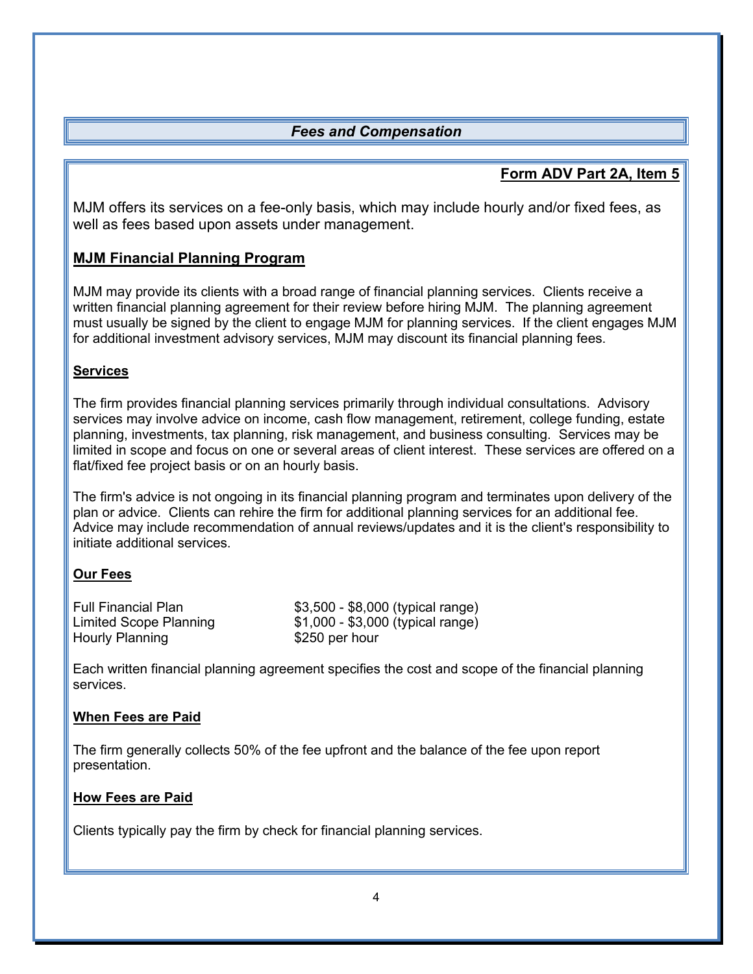## <span id="page-6-0"></span>*Fees and Compensation*

## **Form ADV Part 2A, Item 5**

MJM offers its services on a fee-only basis, which may include hourly and/or fixed fees, as well as fees based upon assets under management.

## **MJM Financial Planning Program**

MJM may provide its clients with a broad range of financial planning services. Clients receive a written financial planning agreement for their review before hiring MJM. The planning agreement must usually be signed by the client to engage MJM for planning services. If the client engages MJM for additional investment advisory services, MJM may discount its financial planning fees.

### **Services**

The firm provides financial planning services primarily through individual consultations. Advisory services may involve advice on income, cash flow management, retirement, college funding, estate planning, investments, tax planning, risk management, and business consulting. Services may be limited in scope and focus on one or several areas of client interest. These services are offered on a flat/fixed fee project basis or on an hourly basis.

The firm's advice is not ongoing in its financial planning program and terminates upon delivery of the plan or advice. Clients can rehire the firm for additional planning services for an additional fee. Advice may include recommendation of annual reviews/updates and it is the client's responsibility to initiate additional services.

## **Our Fees**

| <b>Full Financial Plan</b> | \$3,500 - \$8,000 (typical range) |
|----------------------------|-----------------------------------|
| Limited Scope Planning     | \$1,000 - \$3,000 (typical range) |
| Hourly Planning            | \$250 per hour                    |

Each written financial planning agreement specifies the cost and scope of the financial planning services.

#### **When Fees are Paid**

The firm generally collects 50% of the fee upfront and the balance of the fee upon report presentation.

#### **How Fees are Paid**

Clients typically pay the firm by check for financial planning services.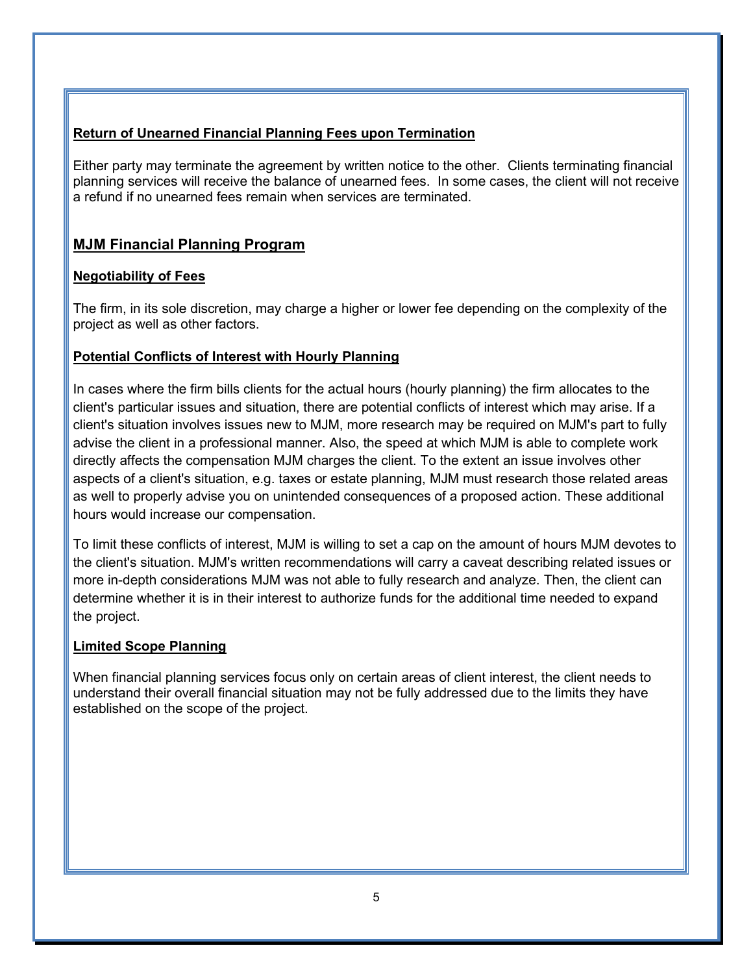## **Return of Unearned Financial Planning Fees upon Termination**

Either party may terminate the agreement by written notice to the other. Clients terminating financial planning services will receive the balance of unearned fees. In some cases, the client will not receive a refund if no unearned fees remain when services are terminated.

## **MJM Financial Planning Program**

### **Negotiability of Fees**

The firm, in its sole discretion, may charge a higher or lower fee depending on the complexity of the project as well as other factors.

### **Potential Conflicts of Interest with Hourly Planning**

In cases where the firm bills clients for the actual hours (hourly planning) the firm allocates to the client's particular issues and situation, there are potential conflicts of interest which may arise. If a client's situation involves issues new to MJM, more research may be required on MJM's part to fully advise the client in a professional manner. Also, the speed at which MJM is able to complete work directly affects the compensation MJM charges the client. To the extent an issue involves other aspects of a client's situation, e.g. taxes or estate planning, MJM must research those related areas as well to properly advise you on unintended consequences of a proposed action. These additional hours would increase our compensation.

To limit these conflicts of interest, MJM is willing to set a cap on the amount of hours MJM devotes to the client's situation. MJM's written recommendations will carry a caveat describing related issues or more in-depth considerations MJM was not able to fully research and analyze. Then, the client can determine whether it is in their interest to authorize funds for the additional time needed to expand the project.

#### **Limited Scope Planning**

When financial planning services focus only on certain areas of client interest, the client needs to understand their overall financial situation may not be fully addressed due to the limits they have established on the scope of the project.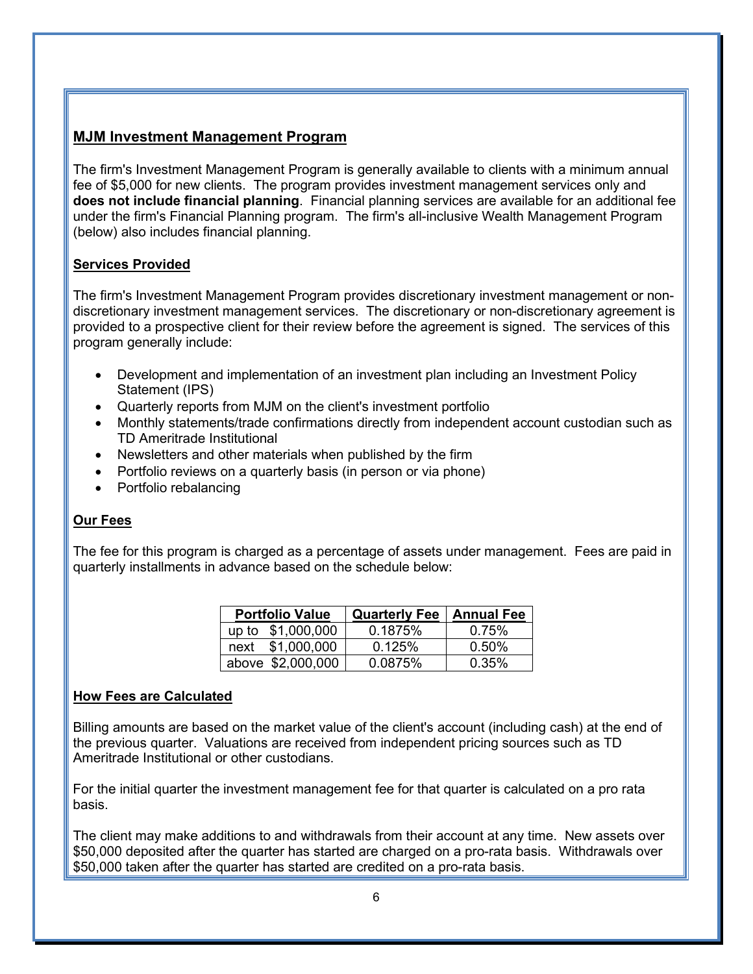## **MJM Investment Management Program**

The firm's Investment Management Program is generally available to clients with a minimum annual fee of \$5,000 for new clients. The program provides investment management services only and **does not include financial planning**. Financial planning services are available for an additional fee under the firm's Financial Planning program. The firm's all-inclusive Wealth Management Program (below) also includes financial planning.

#### **Services Provided**

The firm's Investment Management Program provides discretionary investment management or nondiscretionary investment management services. The discretionary or non-discretionary agreement is provided to a prospective client for their review before the agreement is signed. The services of this program generally include:

- Development and implementation of an investment plan including an Investment Policy Statement (IPS)
- Quarterly reports from MJM on the client's investment portfolio
- Monthly statements/trade confirmations directly from independent account custodian such as TD Ameritrade Institutional
- Newsletters and other materials when published by the firm
- Portfolio reviews on a quarterly basis (in person or via phone)
- Portfolio rebalancing

## **Our Fees**

The fee for this program is charged as a percentage of assets under management. Fees are paid in quarterly installments in advance based on the schedule below:

| <b>Portfolio Value</b> | <b>Quarterly Fee</b> | <b>Annual Fee</b> |
|------------------------|----------------------|-------------------|
| up to \$1,000,000      | 0.1875%              | 0.75%             |
| \$1,000,000<br>next    | 0.125%               | $0.50\%$          |
| above \$2,000,000      | 0.0875%              | 0.35%             |

#### **How Fees are Calculated**

Billing amounts are based on the market value of the client's account (including cash) at the end of the previous quarter. Valuations are received from independent pricing sources such as TD Ameritrade Institutional or other custodians.

For the initial quarter the investment management fee for that quarter is calculated on a pro rata basis.

The client may make additions to and withdrawals from their account at any time. New assets over \$50,000 deposited after the quarter has started are charged on a pro-rata basis. Withdrawals over \$50,000 taken after the quarter has started are credited on a pro-rata basis.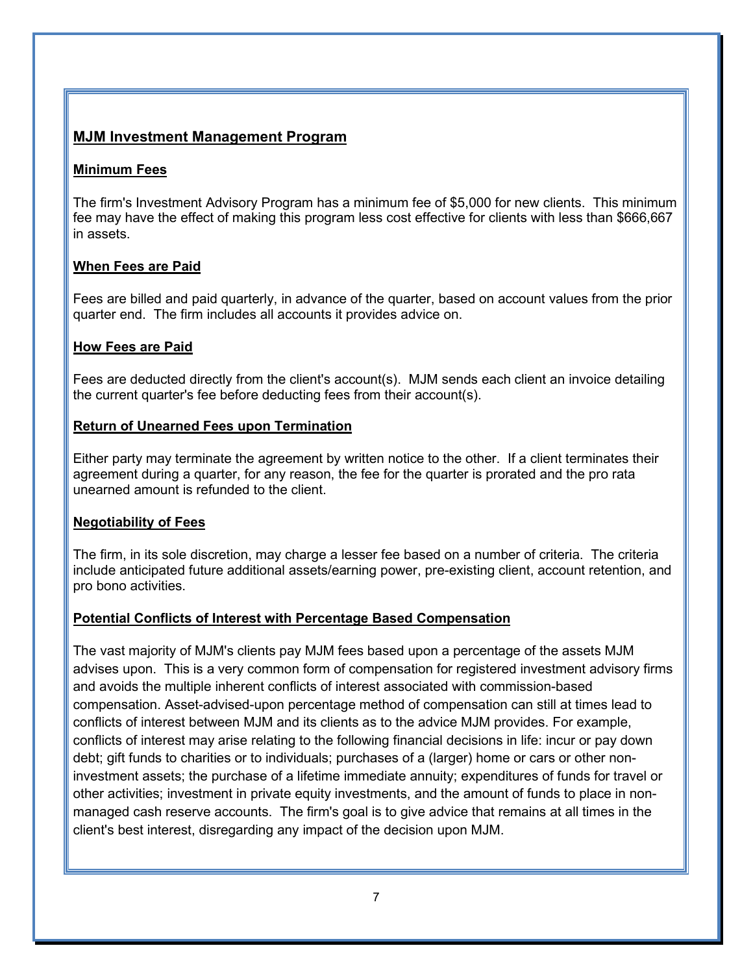## **MJM Investment Management Program**

#### **Minimum Fees**

The firm's Investment Advisory Program has a minimum fee of \$5,000 for new clients. This minimum fee may have the effect of making this program less cost effective for clients with less than \$666,667 in assets.

### **When Fees are Paid**

Fees are billed and paid quarterly, in advance of the quarter, based on account values from the prior quarter end. The firm includes all accounts it provides advice on.

#### **How Fees are Paid**

Fees are deducted directly from the client's account(s). MJM sends each client an invoice detailing the current quarter's fee before deducting fees from their account(s).

#### **Return of Unearned Fees upon Termination**

Either party may terminate the agreement by written notice to the other. If a client terminates their agreement during a quarter, for any reason, the fee for the quarter is prorated and the pro rata unearned amount is refunded to the client.

## **Negotiability of Fees**

The firm, in its sole discretion, may charge a lesser fee based on a number of criteria. The criteria include anticipated future additional assets/earning power, pre-existing client, account retention, and pro bono activities.

## **Potential Conflicts of Interest with Percentage Based Compensation**

The vast majority of MJM's clients pay MJM fees based upon a percentage of the assets MJM advises upon. This is a very common form of compensation for registered investment advisory firms and avoids the multiple inherent conflicts of interest associated with commission-based compensation. Asset-advised-upon percentage method of compensation can still at times lead to conflicts of interest between MJM and its clients as to the advice MJM provides. For example, conflicts of interest may arise relating to the following financial decisions in life: incur or pay down debt; gift funds to charities or to individuals; purchases of a (larger) home or cars or other noninvestment assets; the purchase of a lifetime immediate annuity; expenditures of funds for travel or other activities; investment in private equity investments, and the amount of funds to place in nonmanaged cash reserve accounts. The firm's goal is to give advice that remains at all times in the client's best interest, disregarding any impact of the decision upon MJM.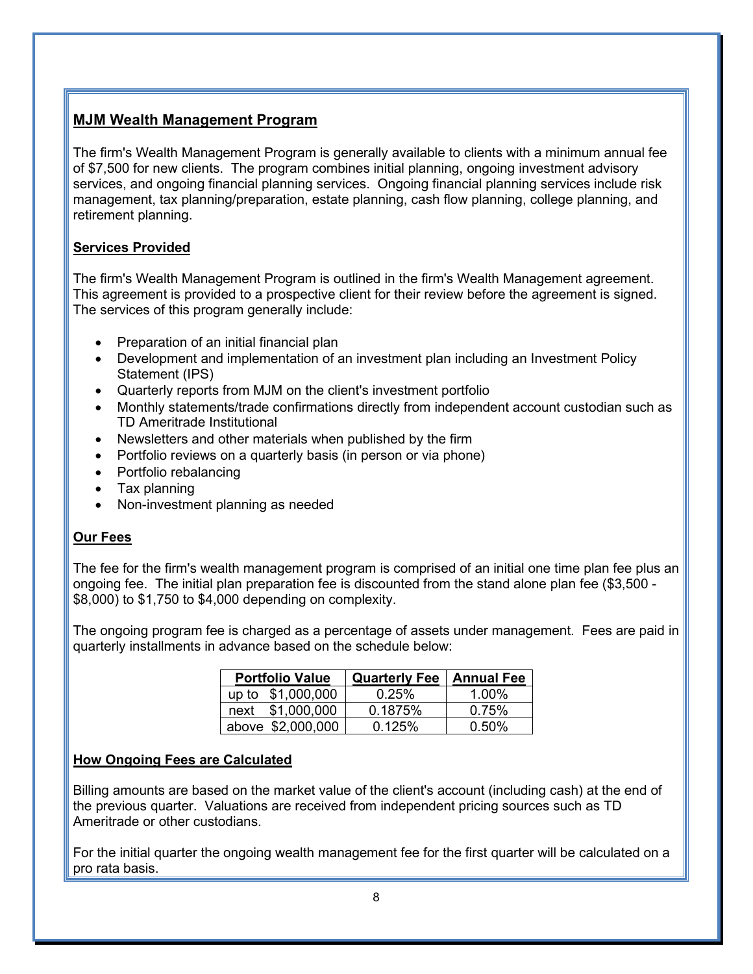## **MJM Wealth Management Program**

The firm's Wealth Management Program is generally available to clients with a minimum annual fee of \$7,500 for new clients. The program combines initial planning, ongoing investment advisory services, and ongoing financial planning services. Ongoing financial planning services include risk management, tax planning/preparation, estate planning, cash flow planning, college planning, and retirement planning.

## **Services Provided**

The firm's Wealth Management Program is outlined in the firm's Wealth Management agreement. This agreement is provided to a prospective client for their review before the agreement is signed. The services of this program generally include:

- Preparation of an initial financial plan
- Development and implementation of an investment plan including an Investment Policy Statement (IPS)
- Quarterly reports from MJM on the client's investment portfolio
- Monthly statements/trade confirmations directly from independent account custodian such as TD Ameritrade Institutional
- Newsletters and other materials when published by the firm
- Portfolio reviews on a quarterly basis (in person or via phone)
- Portfolio rebalancing
- Tax planning
- Non-investment planning as needed

## **Our Fees**

The fee for the firm's wealth management program is comprised of an initial one time plan fee plus an ongoing fee. The initial plan preparation fee is discounted from the stand alone plan fee (\$3,500 - \$8,000) to \$1,750 to \$4,000 depending on complexity.

The ongoing program fee is charged as a percentage of assets under management. Fees are paid in quarterly installments in advance based on the schedule below:

| <b>Portfolio Value</b> | <b>Quarterly Fee   Annual Fee</b> |          |
|------------------------|-----------------------------------|----------|
| up to \$1,000,000      | 0.25%                             | 1.00%    |
| next \$1,000,000       | 0.1875%                           | 0.75%    |
| above \$2,000,000      | 0.125%                            | $0.50\%$ |

## **How Ongoing Fees are Calculated**

Billing amounts are based on the market value of the client's account (including cash) at the end of the previous quarter. Valuations are received from independent pricing sources such as TD Ameritrade or other custodians.

For the initial quarter the ongoing wealth management fee for the first quarter will be calculated on a pro rata basis.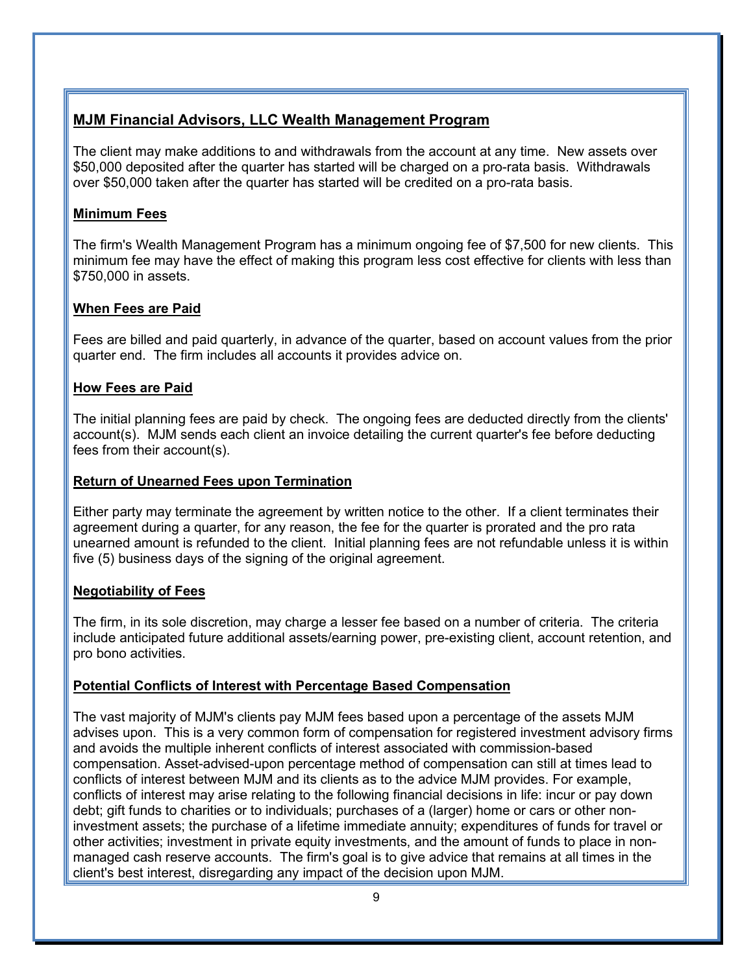## **MJM Financial Advisors, LLC Wealth Management Program**

The client may make additions to and withdrawals from the account at any time. New assets over \$50,000 deposited after the quarter has started will be charged on a pro-rata basis. Withdrawals over \$50,000 taken after the quarter has started will be credited on a pro-rata basis.

### **Minimum Fees**

The firm's Wealth Management Program has a minimum ongoing fee of \$7,500 for new clients. This minimum fee may have the effect of making this program less cost effective for clients with less than \$750,000 in assets.

### **When Fees are Paid**

Fees are billed and paid quarterly, in advance of the quarter, based on account values from the prior quarter end. The firm includes all accounts it provides advice on.

#### **How Fees are Paid**

The initial planning fees are paid by check. The ongoing fees are deducted directly from the clients' account(s). MJM sends each client an invoice detailing the current quarter's fee before deducting fees from their account(s).

#### **Return of Unearned Fees upon Termination**

Either party may terminate the agreement by written notice to the other. If a client terminates their agreement during a quarter, for any reason, the fee for the quarter is prorated and the pro rata unearned amount is refunded to the client. Initial planning fees are not refundable unless it is within five (5) business days of the signing of the original agreement.

## **Negotiability of Fees**

The firm, in its sole discretion, may charge a lesser fee based on a number of criteria. The criteria include anticipated future additional assets/earning power, pre-existing client, account retention, and pro bono activities.

## **Potential Conflicts of Interest with Percentage Based Compensation**

The vast majority of MJM's clients pay MJM fees based upon a percentage of the assets MJM advises upon. This is a very common form of compensation for registered investment advisory firms and avoids the multiple inherent conflicts of interest associated with commission-based compensation. Asset-advised-upon percentage method of compensation can still at times lead to conflicts of interest between MJM and its clients as to the advice MJM provides. For example, conflicts of interest may arise relating to the following financial decisions in life: incur or pay down debt; gift funds to charities or to individuals; purchases of a (larger) home or cars or other noninvestment assets; the purchase of a lifetime immediate annuity; expenditures of funds for travel or other activities; investment in private equity investments, and the amount of funds to place in nonmanaged cash reserve accounts. The firm's goal is to give advice that remains at all times in the client's best interest, disregarding any impact of the decision upon MJM.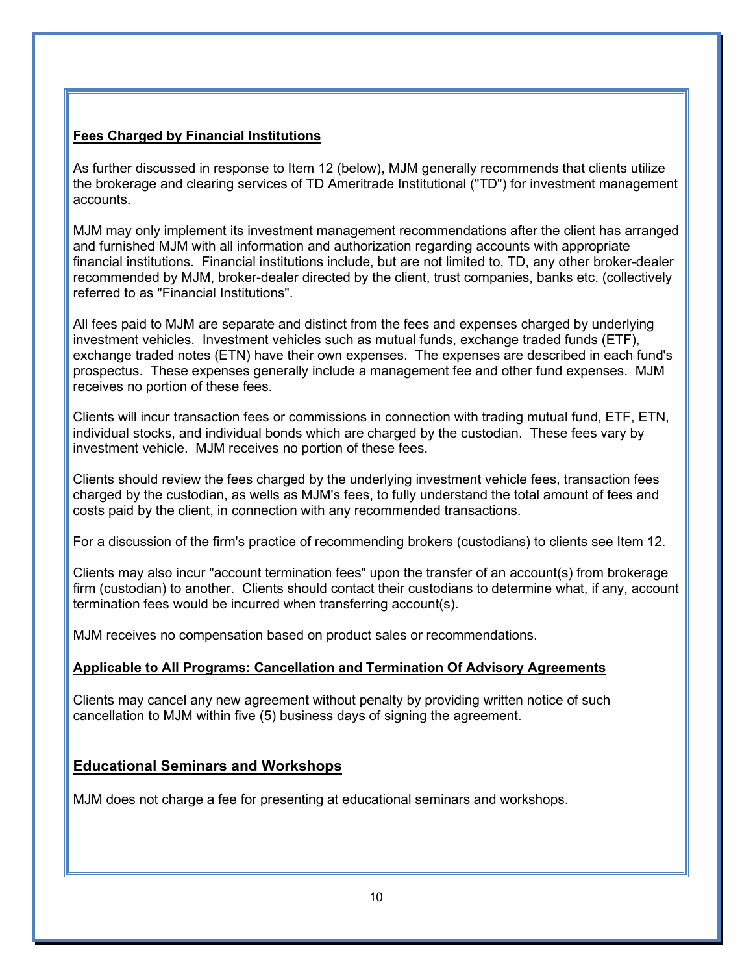## **Fees Charged by Financial Institutions**

As further discussed in response to Item 12 (below), MJM generally recommends that clients utilize the brokerage and clearing services of TD Ameritrade Institutional ("TD") for investment management accounts.

MJM may only implement its investment management recommendations after the client has arranged and furnished MJM with all information and authorization regarding accounts with appropriate financial institutions. Financial institutions include, but are not limited to, TD, any other broker-dealer recommended by MJM, broker-dealer directed by the client, trust companies, banks etc. (collectively referred to as "Financial Institutions".

All fees paid to MJM are separate and distinct from the fees and expenses charged by underlying investment vehicles. Investment vehicles such as mutual funds, exchange traded funds (ETF), exchange traded notes (ETN) have their own expenses. The expenses are described in each fund's prospectus. These expenses generally include a management fee and other fund expenses. MJM receives no portion of these fees.

Clients will incur transaction fees or commissions in connection with trading mutual fund, ETF, ETN, individual stocks, and individual bonds which are charged by the custodian. These fees vary by investment vehicle. MJM receives no portion of these fees.

Clients should review the fees charged by the underlying investment vehicle fees, transaction fees charged by the custodian, as wells as MJM's fees, to fully understand the total amount of fees and costs paid by the client, in connection with any recommended transactions.

For a discussion of the firm's practice of recommending brokers (custodians) to clients see Item 12.

Clients may also incur "account termination fees" upon the transfer of an account(s) from brokerage firm (custodian) to another. Clients should contact their custodians to determine what, if any, account termination fees would be incurred when transferring account(s).

MJM receives no compensation based on product sales or recommendations.

#### **Applicable to All Programs: Cancellation and Termination Of Advisory Agreements**

Clients may cancel any new agreement without penalty by providing written notice of such cancellation to MJM within five (5) business days of signing the agreement.

## **Educational Seminars and Workshops**

MJM does not charge a fee for presenting at educational seminars and workshops.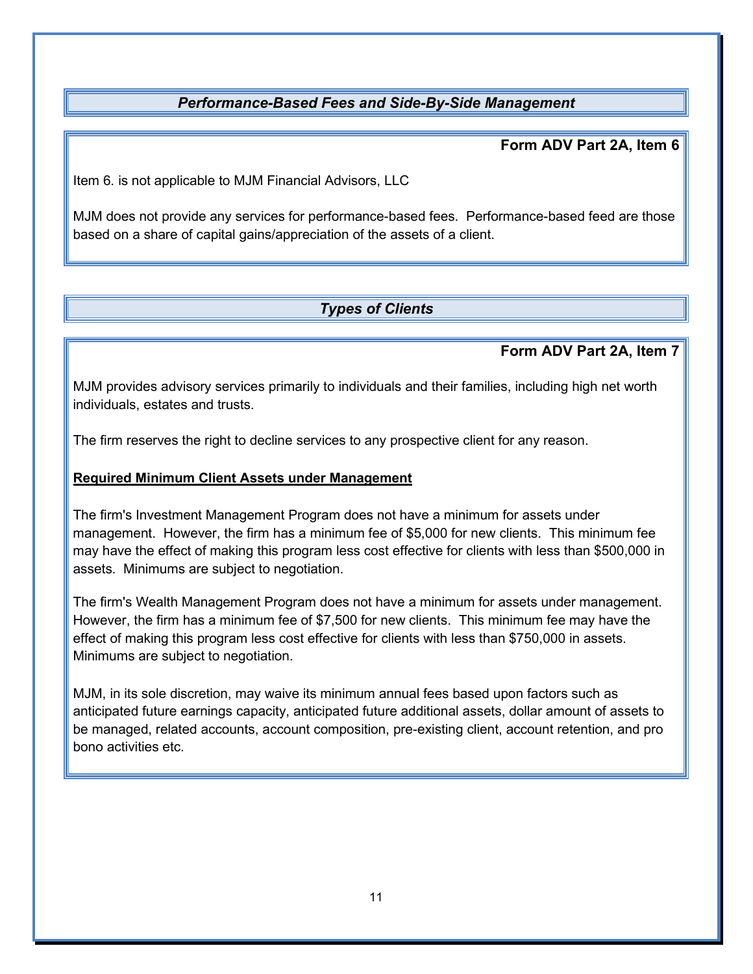## <span id="page-13-0"></span>*Performance-Based Fees and Side-By-Side Management*

**Form ADV Part 2A, Item 6**

Item 6. is not applicable to MJM Financial Advisors, LLC

MJM does not provide any services for performance-based fees. Performance-based feed are those based on a share of capital gains/appreciation of the assets of a client.

## <span id="page-13-1"></span>*Types of Clients*

## **Form ADV Part 2A, Item 7**

MJM provides advisory services primarily to individuals and their families, including high net worth individuals, estates and trusts.

The firm reserves the right to decline services to any prospective client for any reason.

#### **Required Minimum Client Assets under Management**

The firm's Investment Management Program does not have a minimum for assets under management. However, the firm has a minimum fee of \$5,000 for new clients. This minimum fee may have the effect of making this program less cost effective for clients with less than \$500,000 in assets. Minimums are subject to negotiation.

The firm's Wealth Management Program does not have a minimum for assets under management. However, the firm has a minimum fee of \$7,500 for new clients. This minimum fee may have the effect of making this program less cost effective for clients with less than \$750,000 in assets. Minimums are subject to negotiation.

MJM, in its sole discretion, may waive its minimum annual fees based upon factors such as anticipated future earnings capacity, anticipated future additional assets, dollar amount of assets to be managed, related accounts, account composition, pre-existing client, account retention, and pro bono activities etc.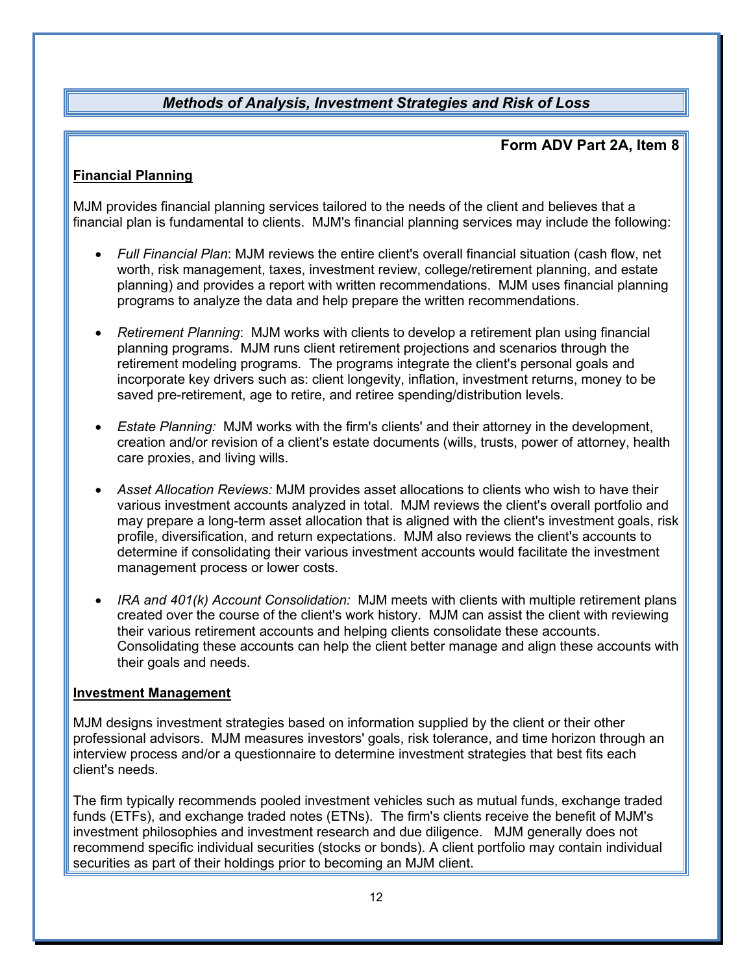## <span id="page-14-0"></span>*Methods of Analysis, Investment Strategies and Risk of Loss*

## **Form ADV Part 2A, Item 8**

### **Financial Planning**

MJM provides financial planning services tailored to the needs of the client and believes that a financial plan is fundamental to clients. MJM's financial planning services may include the following:

- *Full Financial Plan*: MJM reviews the entire client's overall financial situation (cash flow, net worth, risk management, taxes, investment review, college/retirement planning, and estate planning) and provides a report with written recommendations. MJM uses financial planning programs to analyze the data and help prepare the written recommendations.
- *Retirement Planning*: MJM works with clients to develop a retirement plan using financial planning programs. MJM runs client retirement projections and scenarios through the retirement modeling programs. The programs integrate the client's personal goals and incorporate key drivers such as: client longevity, inflation, investment returns, money to be saved pre-retirement, age to retire, and retiree spending/distribution levels.
- *Estate Planning:* MJM works with the firm's clients' and their attorney in the development, creation and/or revision of a client's estate documents (wills, trusts, power of attorney, health care proxies, and living wills.
- *Asset Allocation Reviews:* MJM provides asset allocations to clients who wish to have their various investment accounts analyzed in total. MJM reviews the client's overall portfolio and may prepare a long-term asset allocation that is aligned with the client's investment goals, risk profile, diversification, and return expectations. MJM also reviews the client's accounts to determine if consolidating their various investment accounts would facilitate the investment management process or lower costs.
- *IRA and 401(k) Account Consolidation:* MJM meets with clients with multiple retirement plans created over the course of the client's work history. MJM can assist the client with reviewing their various retirement accounts and helping clients consolidate these accounts. Consolidating these accounts can help the client better manage and align these accounts with their goals and needs.

#### **Investment Management**

MJM designs investment strategies based on information supplied by the client or their other professional advisors. MJM measures investors' goals, risk tolerance, and time horizon through an interview process and/or a questionnaire to determine investment strategies that best fits each client's needs.

The firm typically recommends pooled investment vehicles such as mutual funds, exchange traded funds (ETFs), and exchange traded notes (ETNs). The firm's clients receive the benefit of MJM's investment philosophies and investment research and due diligence. MJM generally does not recommend specific individual securities (stocks or bonds). A client portfolio may contain individual securities as part of their holdings prior to becoming an MJM client.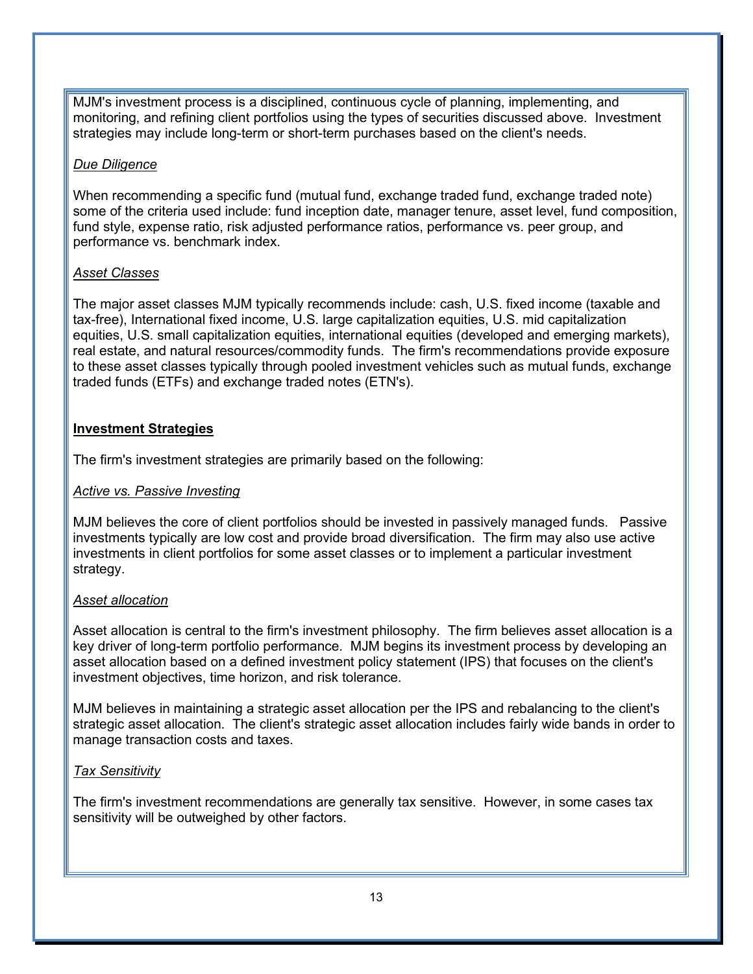MJM's investment process is a disciplined, continuous cycle of planning, implementing, and monitoring, and refining client portfolios using the types of securities discussed above. Investment strategies may include long-term or short-term purchases based on the client's needs.

#### *Due Diligence*

When recommending a specific fund (mutual fund, exchange traded fund, exchange traded note) some of the criteria used include: fund inception date, manager tenure, asset level, fund composition, fund style, expense ratio, risk adjusted performance ratios, performance vs. peer group, and performance vs. benchmark index.

### *Asset Classes*

The major asset classes MJM typically recommends include: cash, U.S. fixed income (taxable and tax-free), International fixed income, U.S. large capitalization equities, U.S. mid capitalization equities, U.S. small capitalization equities, international equities (developed and emerging markets), real estate, and natural resources/commodity funds. The firm's recommendations provide exposure to these asset classes typically through pooled investment vehicles such as mutual funds, exchange traded funds (ETFs) and exchange traded notes (ETN's).

## **Investment Strategies**

The firm's investment strategies are primarily based on the following:

#### *Active vs. Passive Investing*

MJM believes the core of client portfolios should be invested in passively managed funds. Passive investments typically are low cost and provide broad diversification. The firm may also use active investments in client portfolios for some asset classes or to implement a particular investment strategy.

#### *Asset allocation*

Asset allocation is central to the firm's investment philosophy. The firm believes asset allocation is a key driver of long-term portfolio performance. MJM begins its investment process by developing an asset allocation based on a defined investment policy statement (IPS) that focuses on the client's investment objectives, time horizon, and risk tolerance.

MJM believes in maintaining a strategic asset allocation per the IPS and rebalancing to the client's strategic asset allocation. The client's strategic asset allocation includes fairly wide bands in order to manage transaction costs and taxes.

#### *Tax Sensitivity*

The firm's investment recommendations are generally tax sensitive. However, in some cases tax sensitivity will be outweighed by other factors.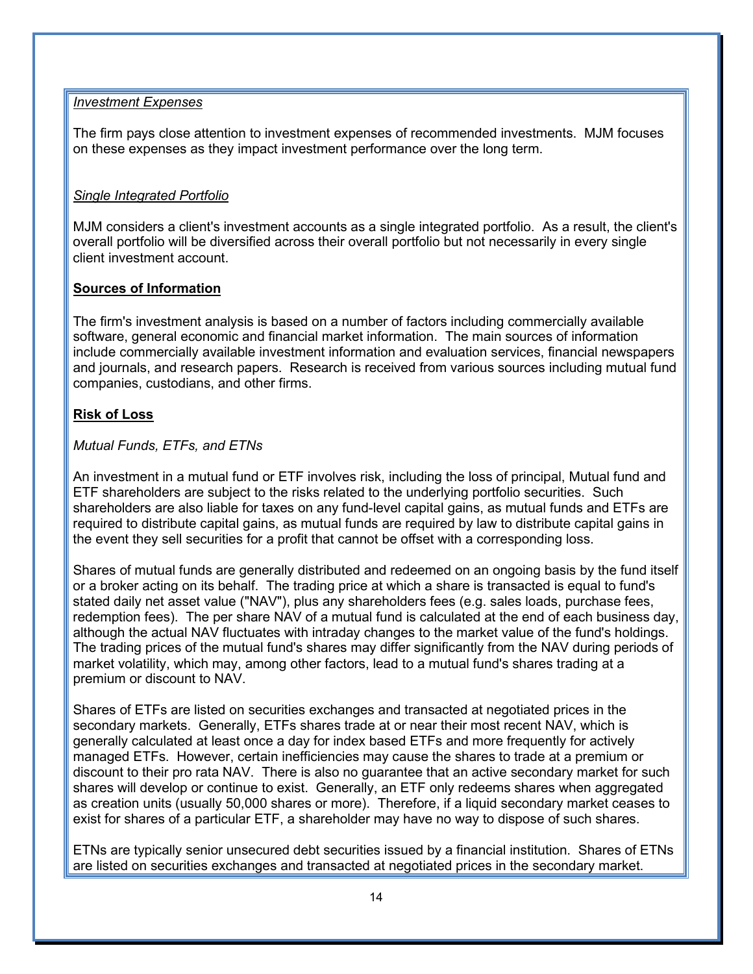#### *Investment Expenses*

The firm pays close attention to investment expenses of recommended investments. MJM focuses on these expenses as they impact investment performance over the long term.

#### *Single Integrated Portfolio*

MJM considers a client's investment accounts as a single integrated portfolio. As a result, the client's overall portfolio will be diversified across their overall portfolio but not necessarily in every single client investment account.

#### **Sources of Information**

The firm's investment analysis is based on a number of factors including commercially available software, general economic and financial market information. The main sources of information include commercially available investment information and evaluation services, financial newspapers and journals, and research papers. Research is received from various sources including mutual fund companies, custodians, and other firms.

#### **Risk of Loss**

#### *Mutual Funds, ETFs, and ETNs*

An investment in a mutual fund or ETF involves risk, including the loss of principal, Mutual fund and ETF shareholders are subject to the risks related to the underlying portfolio securities. Such shareholders are also liable for taxes on any fund-level capital gains, as mutual funds and ETFs are required to distribute capital gains, as mutual funds are required by law to distribute capital gains in the event they sell securities for a profit that cannot be offset with a corresponding loss.

Shares of mutual funds are generally distributed and redeemed on an ongoing basis by the fund itself or a broker acting on its behalf. The trading price at which a share is transacted is equal to fund's stated daily net asset value ("NAV"), plus any shareholders fees (e.g. sales loads, purchase fees, redemption fees). The per share NAV of a mutual fund is calculated at the end of each business day, although the actual NAV fluctuates with intraday changes to the market value of the fund's holdings. The trading prices of the mutual fund's shares may differ significantly from the NAV during periods of market volatility, which may, among other factors, lead to a mutual fund's shares trading at a premium or discount to NAV.

Shares of ETFs are listed on securities exchanges and transacted at negotiated prices in the secondary markets. Generally, ETFs shares trade at or near their most recent NAV, which is generally calculated at least once a day for index based ETFs and more frequently for actively managed ETFs. However, certain inefficiencies may cause the shares to trade at a premium or discount to their pro rata NAV. There is also no guarantee that an active secondary market for such shares will develop or continue to exist. Generally, an ETF only redeems shares when aggregated as creation units (usually 50,000 shares or more). Therefore, if a liquid secondary market ceases to exist for shares of a particular ETF, a shareholder may have no way to dispose of such shares.

ETNs are typically senior unsecured debt securities issued by a financial institution. Shares of ETNs are listed on securities exchanges and transacted at negotiated prices in the secondary market.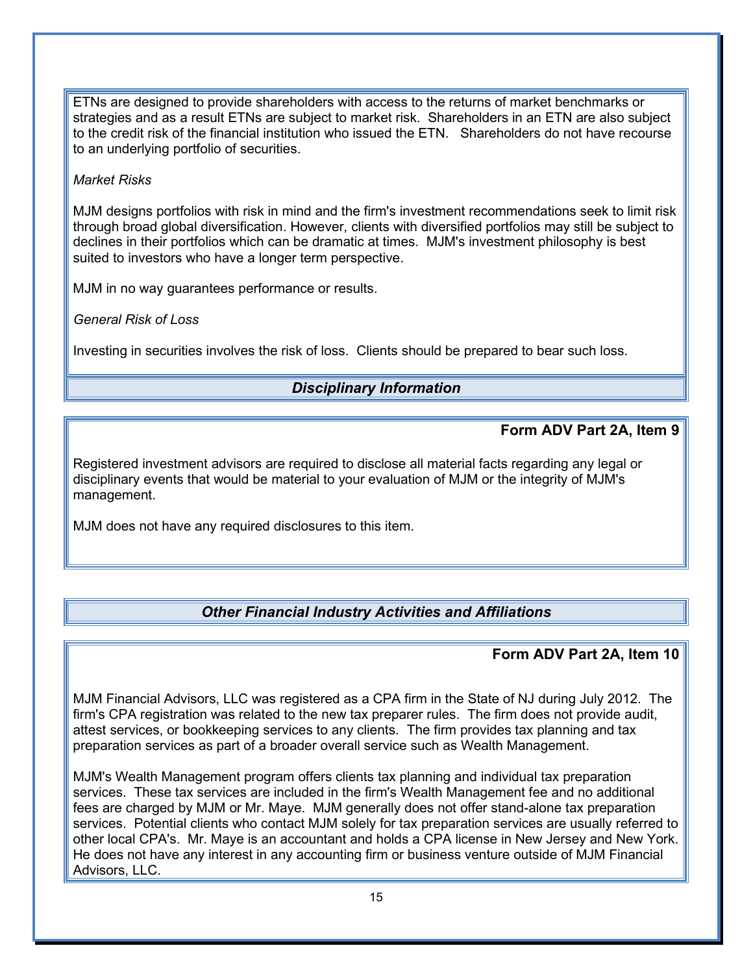ETNs are designed to provide shareholders with access to the returns of market benchmarks or strategies and as a result ETNs are subject to market risk. Shareholders in an ETN are also subject to the credit risk of the financial institution who issued the ETN. Shareholders do not have recourse to an underlying portfolio of securities.

#### *Market Risks*

MJM designs portfolios with risk in mind and the firm's investment recommendations seek to limit risk through broad global diversification. However, clients with diversified portfolios may still be subject to declines in their portfolios which can be dramatic at times. MJM's investment philosophy is best suited to investors who have a longer term perspective.

MJM in no way guarantees performance or results.

*General Risk of Loss*

Investing in securities involves the risk of loss. Clients should be prepared to bear such loss.

## <span id="page-17-0"></span>*Disciplinary Information*

## **Form ADV Part 2A, Item 9**

Registered investment advisors are required to disclose all material facts regarding any legal or disciplinary events that would be material to your evaluation of MJM or the integrity of MJM's management.

MJM does not have any required disclosures to this item.

## <span id="page-17-1"></span>*Other Financial Industry Activities and Affiliations*

## **Form ADV Part 2A, Item 10**

MJM Financial Advisors, LLC was registered as a CPA firm in the State of NJ during July 2012. The firm's CPA registration was related to the new tax preparer rules. The firm does not provide audit, attest services, or bookkeeping services to any clients. The firm provides tax planning and tax preparation services as part of a broader overall service such as Wealth Management.

MJM's Wealth Management program offers clients tax planning and individual tax preparation services. These tax services are included in the firm's Wealth Management fee and no additional fees are charged by MJM or Mr. Maye. MJM generally does not offer stand-alone tax preparation services. Potential clients who contact MJM solely for tax preparation services are usually referred to other local CPA's. Mr. Maye is an accountant and holds a CPA license in New Jersey and New York. He does not have any interest in any accounting firm or business venture outside of MJM Financial Advisors, LLC.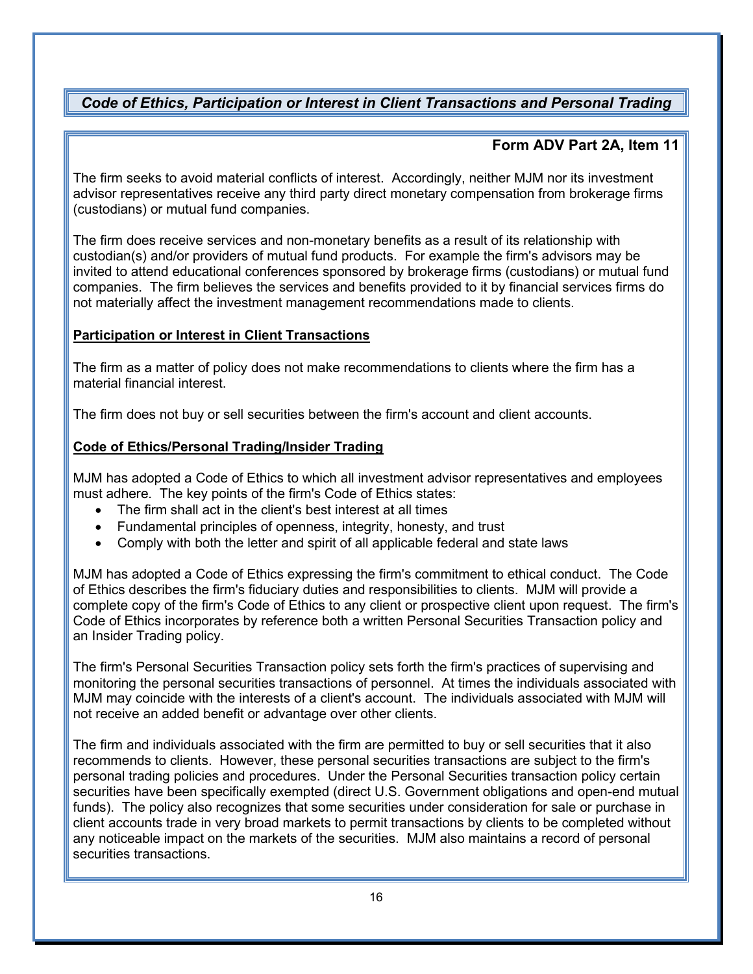## <span id="page-18-0"></span>*Code of Ethics, Participation or Interest in Client Transactions and Personal Trading*

## **Form ADV Part 2A, Item 11**

The firm seeks to avoid material conflicts of interest. Accordingly, neither MJM nor its investment advisor representatives receive any third party direct monetary compensation from brokerage firms (custodians) or mutual fund companies.

The firm does receive services and non-monetary benefits as a result of its relationship with custodian(s) and/or providers of mutual fund products. For example the firm's advisors may be invited to attend educational conferences sponsored by brokerage firms (custodians) or mutual fund companies. The firm believes the services and benefits provided to it by financial services firms do not materially affect the investment management recommendations made to clients.

## **Participation or Interest in Client Transactions**

The firm as a matter of policy does not make recommendations to clients where the firm has a material financial interest.

The firm does not buy or sell securities between the firm's account and client accounts.

## **Code of Ethics/Personal Trading/Insider Trading**

MJM has adopted a Code of Ethics to which all investment advisor representatives and employees must adhere. The key points of the firm's Code of Ethics states:

- The firm shall act in the client's best interest at all times
- Fundamental principles of openness, integrity, honesty, and trust
- Comply with both the letter and spirit of all applicable federal and state laws

MJM has adopted a Code of Ethics expressing the firm's commitment to ethical conduct. The Code of Ethics describes the firm's fiduciary duties and responsibilities to clients. MJM will provide a complete copy of the firm's Code of Ethics to any client or prospective client upon request. The firm's Code of Ethics incorporates by reference both a written Personal Securities Transaction policy and an Insider Trading policy.

The firm's Personal Securities Transaction policy sets forth the firm's practices of supervising and monitoring the personal securities transactions of personnel. At times the individuals associated with MJM may coincide with the interests of a client's account. The individuals associated with MJM will not receive an added benefit or advantage over other clients.

The firm and individuals associated with the firm are permitted to buy or sell securities that it also recommends to clients. However, these personal securities transactions are subject to the firm's personal trading policies and procedures. Under the Personal Securities transaction policy certain securities have been specifically exempted (direct U.S. Government obligations and open-end mutual funds). The policy also recognizes that some securities under consideration for sale or purchase in client accounts trade in very broad markets to permit transactions by clients to be completed without any noticeable impact on the markets of the securities. MJM also maintains a record of personal securities transactions.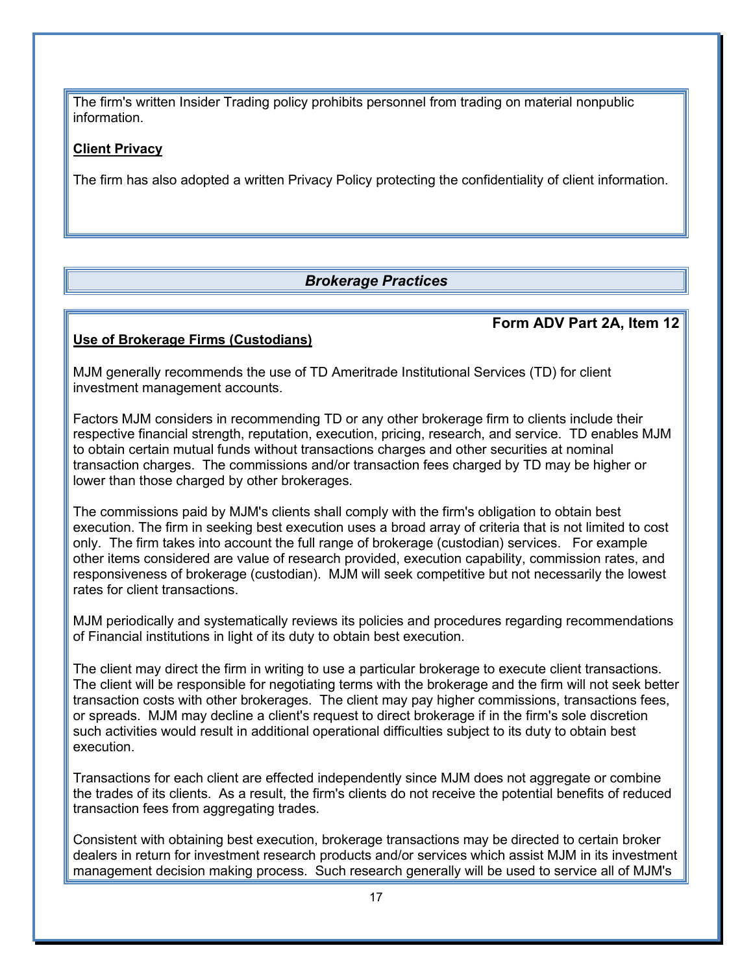The firm's written Insider Trading policy prohibits personnel from trading on material nonpublic information.

#### **Client Privacy**

The firm has also adopted a written Privacy Policy protecting the confidentiality of client information.

## <span id="page-19-0"></span>*Brokerage Practices*

#### **Use of Brokerage Firms (Custodians)**

#### **Form ADV Part 2A, Item 12**

MJM generally recommends the use of TD Ameritrade Institutional Services (TD) for client investment management accounts.

Factors MJM considers in recommending TD or any other brokerage firm to clients include their respective financial strength, reputation, execution, pricing, research, and service. TD enables MJM to obtain certain mutual funds without transactions charges and other securities at nominal transaction charges. The commissions and/or transaction fees charged by TD may be higher or lower than those charged by other brokerages.

The commissions paid by MJM's clients shall comply with the firm's obligation to obtain best execution. The firm in seeking best execution uses a broad array of criteria that is not limited to cost only. The firm takes into account the full range of brokerage (custodian) services. For example other items considered are value of research provided, execution capability, commission rates, and responsiveness of brokerage (custodian). MJM will seek competitive but not necessarily the lowest rates for client transactions.

MJM periodically and systematically reviews its policies and procedures regarding recommendations of Financial institutions in light of its duty to obtain best execution.

The client may direct the firm in writing to use a particular brokerage to execute client transactions. The client will be responsible for negotiating terms with the brokerage and the firm will not seek better transaction costs with other brokerages. The client may pay higher commissions, transactions fees, or spreads. MJM may decline a client's request to direct brokerage if in the firm's sole discretion such activities would result in additional operational difficulties subject to its duty to obtain best execution.

Transactions for each client are effected independently since MJM does not aggregate or combine the trades of its clients. As a result, the firm's clients do not receive the potential benefits of reduced transaction fees from aggregating trades.

Consistent with obtaining best execution, brokerage transactions may be directed to certain broker dealers in return for investment research products and/or services which assist MJM in its investment management decision making process. Such research generally will be used to service all of MJM's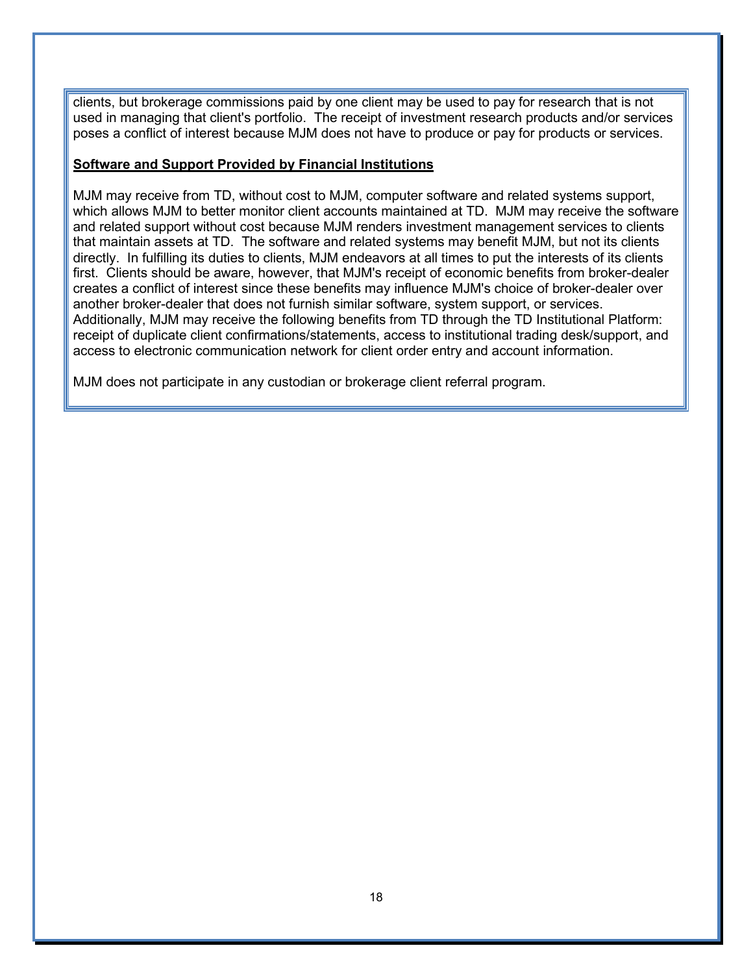clients, but brokerage commissions paid by one client may be used to pay for research that is not used in managing that client's portfolio. The receipt of investment research products and/or services poses a conflict of interest because MJM does not have to produce or pay for products or services.

#### **Software and Support Provided by Financial Institutions**

MJM may receive from TD, without cost to MJM, computer software and related systems support, which allows MJM to better monitor client accounts maintained at TD. MJM may receive the software and related support without cost because MJM renders investment management services to clients that maintain assets at TD. The software and related systems may benefit MJM, but not its clients directly. In fulfilling its duties to clients, MJM endeavors at all times to put the interests of its clients first. Clients should be aware, however, that MJM's receipt of economic benefits from broker-dealer creates a conflict of interest since these benefits may influence MJM's choice of broker-dealer over another broker-dealer that does not furnish similar software, system support, or services. Additionally, MJM may receive the following benefits from TD through the TD Institutional Platform: receipt of duplicate client confirmations/statements, access to institutional trading desk/support, and access to electronic communication network for client order entry and account information.

MJM does not participate in any custodian or brokerage client referral program.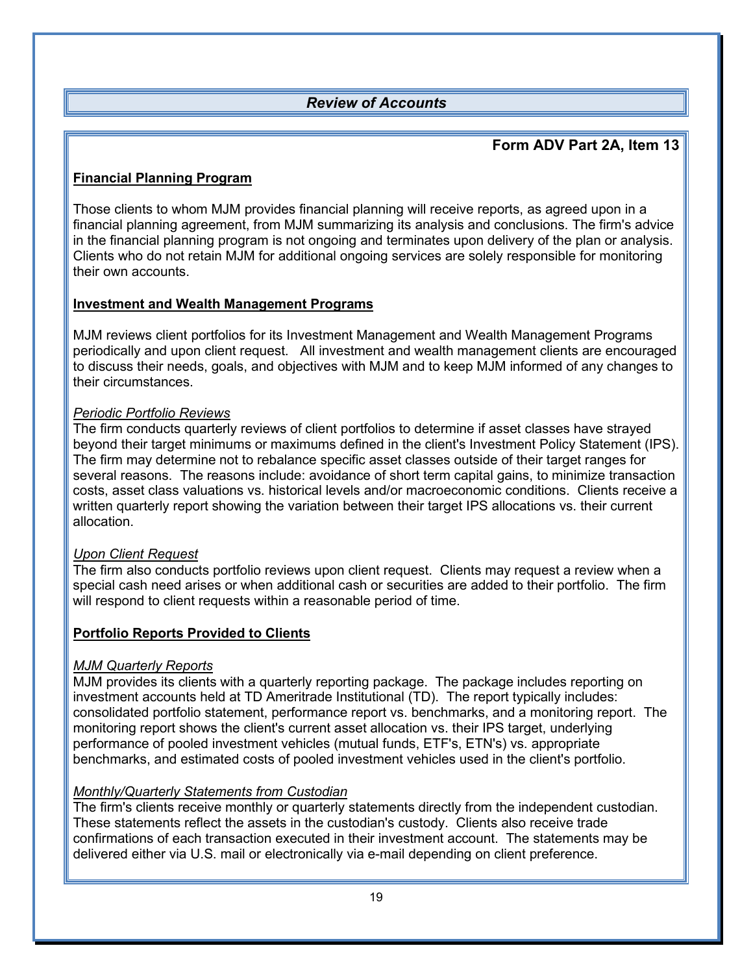## <span id="page-21-0"></span>*Review of Accounts*

## **Form ADV Part 2A, Item 13**

### **Financial Planning Program**

Those clients to whom MJM provides financial planning will receive reports, as agreed upon in a financial planning agreement, from MJM summarizing its analysis and conclusions. The firm's advice in the financial planning program is not ongoing and terminates upon delivery of the plan or analysis. Clients who do not retain MJM for additional ongoing services are solely responsible for monitoring their own accounts.

#### **Investment and Wealth Management Programs**

MJM reviews client portfolios for its Investment Management and Wealth Management Programs periodically and upon client request. All investment and wealth management clients are encouraged to discuss their needs, goals, and objectives with MJM and to keep MJM informed of any changes to their circumstances.

#### *Periodic Portfolio Reviews*

The firm conducts quarterly reviews of client portfolios to determine if asset classes have strayed beyond their target minimums or maximums defined in the client's Investment Policy Statement (IPS). The firm may determine not to rebalance specific asset classes outside of their target ranges for several reasons. The reasons include: avoidance of short term capital gains, to minimize transaction costs, asset class valuations vs. historical levels and/or macroeconomic conditions. Clients receive a written quarterly report showing the variation between their target IPS allocations vs. their current allocation.

#### *Upon Client Request*

The firm also conducts portfolio reviews upon client request. Clients may request a review when a special cash need arises or when additional cash or securities are added to their portfolio. The firm will respond to client requests within a reasonable period of time.

#### **Portfolio Reports Provided to Clients**

#### *MJM Quarterly Reports*

MJM provides its clients with a quarterly reporting package. The package includes reporting on investment accounts held at TD Ameritrade Institutional (TD). The report typically includes: consolidated portfolio statement, performance report vs. benchmarks, and a monitoring report. The monitoring report shows the client's current asset allocation vs. their IPS target, underlying performance of pooled investment vehicles (mutual funds, ETF's, ETN's) vs. appropriate benchmarks, and estimated costs of pooled investment vehicles used in the client's portfolio.

#### *Monthly/Quarterly Statements from Custodian*

The firm's clients receive monthly or quarterly statements directly from the independent custodian. These statements reflect the assets in the custodian's custody. Clients also receive trade confirmations of each transaction executed in their investment account. The statements may be delivered either via U.S. mail or electronically via e-mail depending on client preference.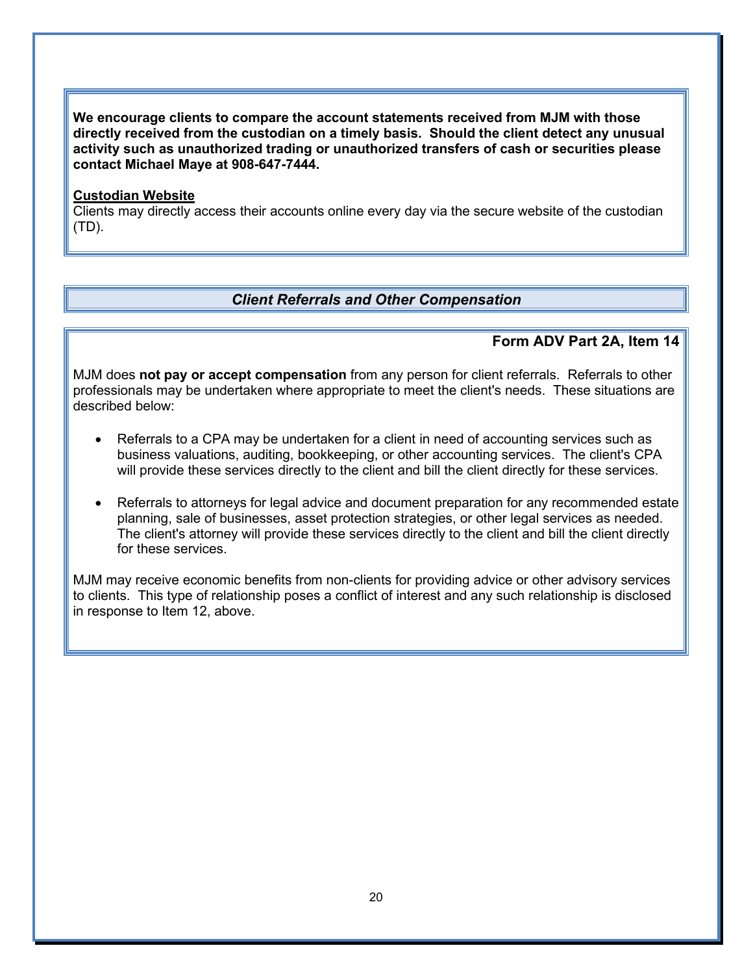**We encourage clients to compare the account statements received from MJM with those directly received from the custodian on a timely basis. Should the client detect any unusual activity such as unauthorized trading or unauthorized transfers of cash or securities please contact Michael Maye at 908-647-7444.** 

#### **Custodian Website**

Clients may directly access their accounts online every day via the secure website of the custodian (TD).

### <span id="page-22-0"></span>*Client Referrals and Other Compensation*

#### **Form ADV Part 2A, Item 14**

MJM does **not pay or accept compensation** from any person for client referrals. Referrals to other professionals may be undertaken where appropriate to meet the client's needs. These situations are described below:

- Referrals to a CPA may be undertaken for a client in need of accounting services such as business valuations, auditing, bookkeeping, or other accounting services. The client's CPA will provide these services directly to the client and bill the client directly for these services.
- Referrals to attorneys for legal advice and document preparation for any recommended estate planning, sale of businesses, asset protection strategies, or other legal services as needed. The client's attorney will provide these services directly to the client and bill the client directly for these services.

MJM may receive economic benefits from non-clients for providing advice or other advisory services to clients. This type of relationship poses a conflict of interest and any such relationship is disclosed in response to Item 12, above.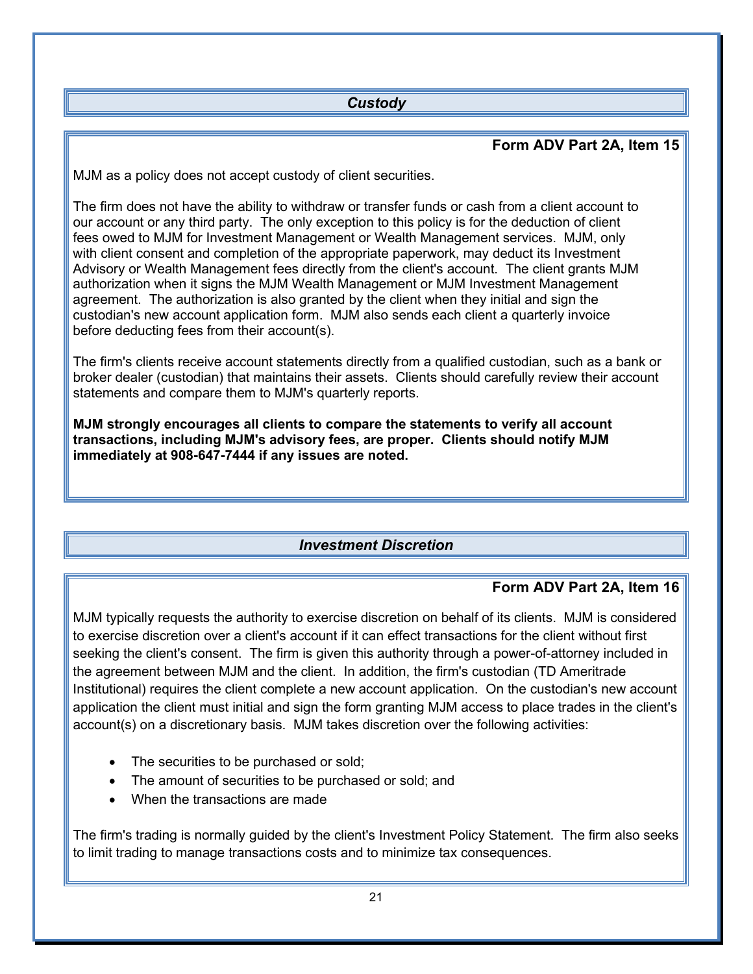## <span id="page-23-0"></span>*Custody*

## **Form ADV Part 2A, Item 15**

MJM as a policy does not accept custody of client securities.

The firm does not have the ability to withdraw or transfer funds or cash from a client account to our account or any third party. The only exception to this policy is for the deduction of client fees owed to MJM for Investment Management or Wealth Management services. MJM, only with client consent and completion of the appropriate paperwork, may deduct its Investment Advisory or Wealth Management fees directly from the client's account. The client grants MJM authorization when it signs the MJM Wealth Management or MJM Investment Management agreement. The authorization is also granted by the client when they initial and sign the custodian's new account application form. MJM also sends each client a quarterly invoice before deducting fees from their account(s).

The firm's clients receive account statements directly from a qualified custodian, such as a bank or broker dealer (custodian) that maintains their assets. Clients should carefully review their account statements and compare them to MJM's quarterly reports.

**MJM strongly encourages all clients to compare the statements to verify all account transactions, including MJM's advisory fees, are proper. Clients should notify MJM immediately at 908-647-7444 if any issues are noted.** 

## <span id="page-23-1"></span>*Investment Discretion*

## **Form ADV Part 2A, Item 16**

MJM typically requests the authority to exercise discretion on behalf of its clients. MJM is considered to exercise discretion over a client's account if it can effect transactions for the client without first seeking the client's consent. The firm is given this authority through a power-of-attorney included in the agreement between MJM and the client. In addition, the firm's custodian (TD Ameritrade Institutional) requires the client complete a new account application. On the custodian's new account application the client must initial and sign the form granting MJM access to place trades in the client's account(s) on a discretionary basis. MJM takes discretion over the following activities:

- The securities to be purchased or sold;
- The amount of securities to be purchased or sold; and
- When the transactions are made

The firm's trading is normally guided by the client's Investment Policy Statement. The firm also seeks to limit trading to manage transactions costs and to minimize tax consequences.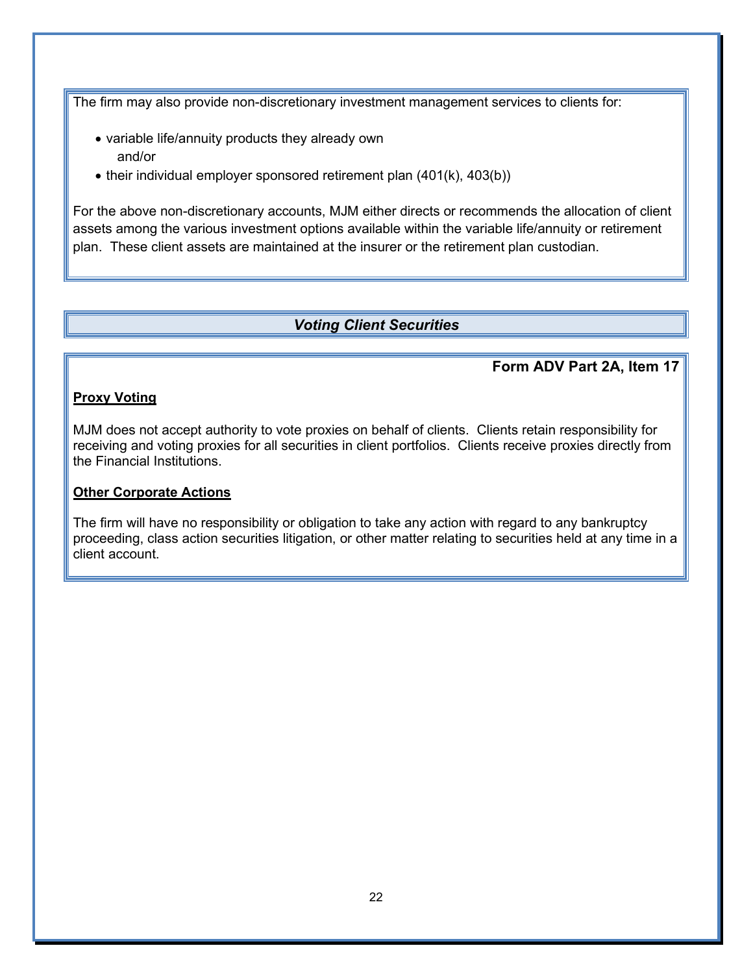The firm may also provide non-discretionary investment management services to clients for:

- variable life/annuity products they already own and/or
- their individual employer sponsored retirement plan (401(k), 403(b))

For the above non-discretionary accounts, MJM either directs or recommends the allocation of client assets among the various investment options available within the variable life/annuity or retirement plan. These client assets are maintained at the insurer or the retirement plan custodian.

## <span id="page-24-0"></span>*Voting Client Securities*

### **Form ADV Part 2A, Item 17**

#### **Proxy Voting**

MJM does not accept authority to vote proxies on behalf of clients. Clients retain responsibility for receiving and voting proxies for all securities in client portfolios. Clients receive proxies directly from the Financial Institutions.

### **Other Corporate Actions**

The firm will have no responsibility or obligation to take any action with regard to any bankruptcy proceeding, class action securities litigation, or other matter relating to securities held at any time in a client account.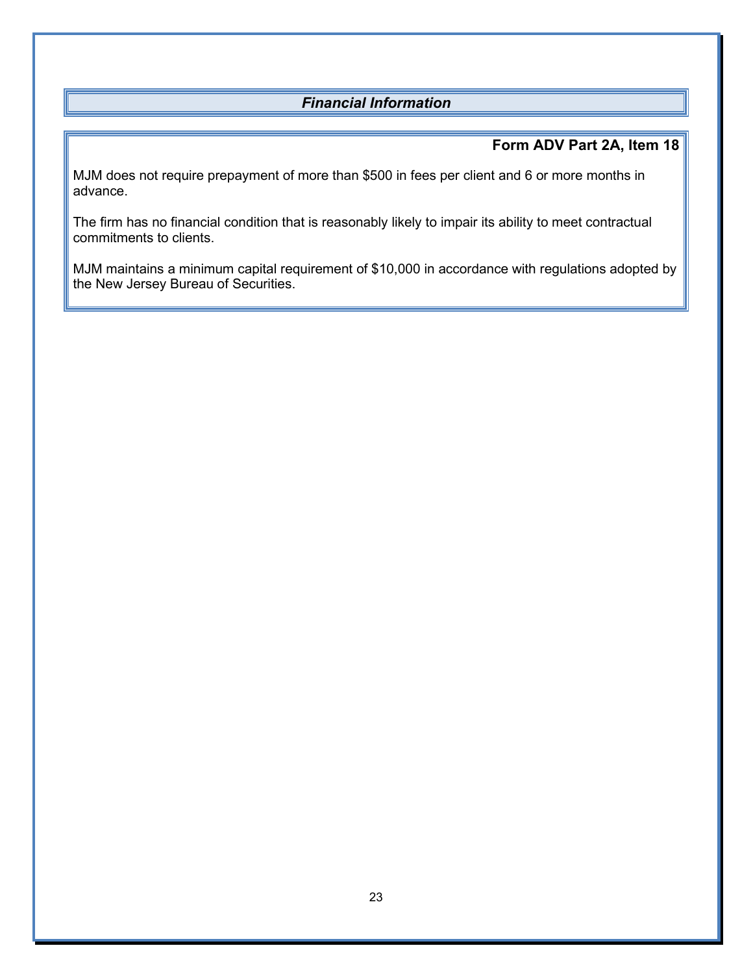## <span id="page-25-0"></span>*Financial Information*

## **Form ADV Part 2A, Item 18**

MJM does not require prepayment of more than \$500 in fees per client and 6 or more months in advance.

The firm has no financial condition that is reasonably likely to impair its ability to meet contractual commitments to clients.

MJM maintains a minimum capital requirement of \$10,000 in accordance with regulations adopted by the New Jersey Bureau of Securities.